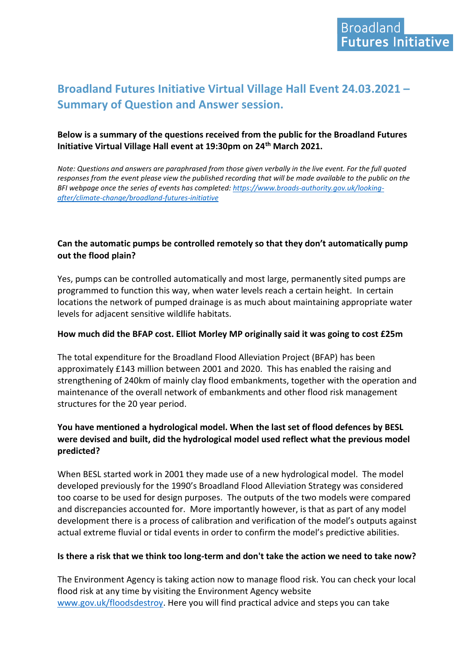# **Broadland Futures Initiative Virtual Village Hall Event 24.03.2021 – Summary of Question and Answer session.**

## **Below is a summary of the questions received from the public for the Broadland Futures Initiative Virtual Village Hall event at 19:30pm on 24th March 2021.**

*Note: Questions and answers are paraphrased from those given verbally in the live event. For the full quoted responses from the event please view the published recording that will be made available to the public on the BFI webpage once the series of events has completed: [https://www.broads-authority.gov.uk/looking](https://www.broads-authority.gov.uk/looking-after/climate-change/broadland-futures-initiative)[after/climate-change/broadland-futures-initiative](https://www.broads-authority.gov.uk/looking-after/climate-change/broadland-futures-initiative)*

# **Can the automatic pumps be controlled remotely so that they don't automatically pump out the flood plain?**

Yes, pumps can be controlled automatically and most large, permanently sited pumps are programmed to function this way, when water levels reach a certain height. In certain locations the network of pumped drainage is as much about maintaining appropriate water levels for adjacent sensitive wildlife habitats.

#### **How much did the BFAP cost. Elliot Morley MP originally said it was going to cost £25m**

The total expenditure for the Broadland Flood Alleviation Project (BFAP) has been approximately £143 million between 2001 and 2020. This has enabled the raising and strengthening of 240km of mainly clay flood embankments, together with the operation and maintenance of the overall network of embankments and other flood risk management structures for the 20 year period.

## **You have mentioned a hydrological model. When the last set of flood defences by BESL were devised and built, did the hydrological model used reflect what the previous model predicted?**

When BESL started work in 2001 they made use of a new hydrological model. The model developed previously for the 1990's Broadland Flood Alleviation Strategy was considered too coarse to be used for design purposes. The outputs of the two models were compared and discrepancies accounted for. More importantly however, is that as part of any model development there is a process of calibration and verification of the model's outputs against actual extreme fluvial or tidal events in order to confirm the model's predictive abilities.

## **Is there a risk that we think too long-term and don't take the action we need to take now?**

The Environment Agency is taking action now to manage flood risk. You can check your local flood risk at any time by visiting the Environment Agency website [www.gov.uk/floodsdestroy.](http://www.gov.uk/floodsdestroy) Here you will find practical advice and steps you can take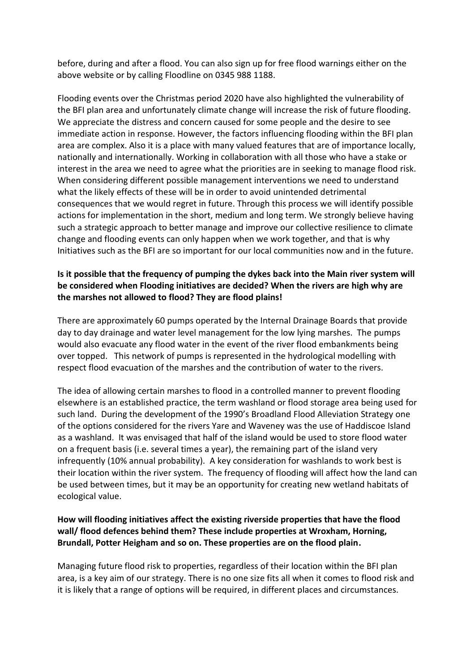before, during and after a flood. You can also sign up for free flood warnings either on the above website or by calling Floodline on 0345 988 1188.

Flooding events over the Christmas period 2020 have also highlighted the vulnerability of the BFI plan area and unfortunately climate change will increase the risk of future flooding. We appreciate the distress and concern caused for some people and the desire to see immediate action in response. However, the factors influencing flooding within the BFI plan area are complex. Also it is a place with many valued features that are of importance locally, nationally and internationally. Working in collaboration with all those who have a stake or interest in the area we need to agree what the priorities are in seeking to manage flood risk. When considering different possible management interventions we need to understand what the likely effects of these will be in order to avoid unintended detrimental consequences that we would regret in future. Through this process we will identify possible actions for implementation in the short, medium and long term. We strongly believe having such a strategic approach to better manage and improve our collective resilience to climate change and flooding events can only happen when we work together, and that is why Initiatives such as the BFI are so important for our local communities now and in the future.

# **Is it possible that the frequency of pumping the dykes back into the Main river system will be considered when Flooding initiatives are decided? When the rivers are high why are the marshes not allowed to flood? They are flood plains!**

There are approximately 60 pumps operated by the Internal Drainage Boards that provide day to day drainage and water level management for the low lying marshes. The pumps would also evacuate any flood water in the event of the river flood embankments being over topped. This network of pumps is represented in the hydrological modelling with respect flood evacuation of the marshes and the contribution of water to the rivers.

The idea of allowing certain marshes to flood in a controlled manner to prevent flooding elsewhere is an established practice, the term washland or flood storage area being used for such land. During the development of the 1990's Broadland Flood Alleviation Strategy one of the options considered for the rivers Yare and Waveney was the use of Haddiscoe Island as a washland. It was envisaged that half of the island would be used to store flood water on a frequent basis (i.e. several times a year), the remaining part of the island very infrequently (10% annual probability). A key consideration for washlands to work best is their location within the river system. The frequency of flooding will affect how the land can be used between times, but it may be an opportunity for creating new wetland habitats of ecological value.

## **How will flooding initiatives affect the existing riverside properties that have the flood wall/ flood defences behind them? These include properties at Wroxham, Horning, Brundall, Potter Heigham and so on. These properties are on the flood plain.**

Managing future flood risk to properties, regardless of their location within the BFI plan area, is a key aim of our strategy. There is no one size fits all when it comes to flood risk and it is likely that a range of options will be required, in different places and circumstances.